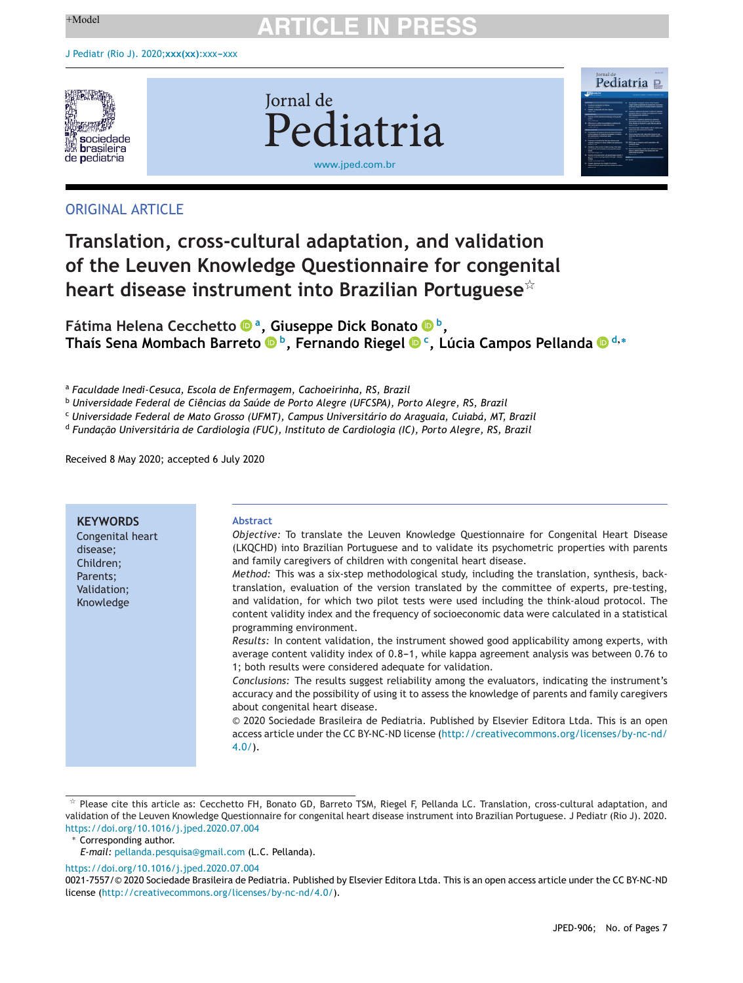

**Jornal** de Pediatria [www.jped.com.br](http://www.jped.com.br)



## ORIGINAL ARTICLE

# **Translation, cross-cultural adaptation, and validation of the Leuven Knowledge Questionnaire for congenital heart disease instrument into Brazilian Portuguese**-

**Fátima Helena Cecchett[o](https://orcid.org/0000-0002-9837-5438) a, Giuseppe Dick Bonato b, Thaís Sena Mombach Barreto b, Fernando Riege[l](https://orcid.org/0000-0002-3688-419X) c, Lúcia Campos Pelland[a](https://orcid.org/0000-0002-9092-3882) <sup>d</sup>,<sup>∗</sup>**

<sup>a</sup> *Faculdade Inedi-Cesuca, Escola de Enfermagem, Cachoeirinha, RS, Brazil*

<sup>b</sup> *Universidade Federal de Ciências da Saúde de Porto Alegre (UFCSPA), Porto Alegre, RS, Brazil*

<sup>c</sup> *Universidade Federal de Mato Grosso (UFMT), Campus Universitário do Araguaia, Cuiabá, MT, Brazil*

<sup>d</sup> *Fundac¸ão Universitária de Cardiologia (FUC), Instituto de Cardiologia (IC), Porto Alegre, RS, Brazil*

Received 8 May 2020; accepted 6 July 2020

| <b>KEYWORDS</b><br><b>Abstract</b><br>Congenital heart<br>disease:<br>and family caregivers of children with congenital heart disease.<br>Children;<br>Parents;<br>Validation;<br>Knowledge<br>programming environment.<br>1; both results were considered adequate for validation.<br>about congenital heart disease.<br>$4.0/$ ). |                                                                                                                                                                                                                                                                                                                                                                                                                                                                                                                                                                                                                                                                                                                                                                                                                                                                                                                                                                                                                                                                                                                                                                                                |
|-------------------------------------------------------------------------------------------------------------------------------------------------------------------------------------------------------------------------------------------------------------------------------------------------------------------------------------|------------------------------------------------------------------------------------------------------------------------------------------------------------------------------------------------------------------------------------------------------------------------------------------------------------------------------------------------------------------------------------------------------------------------------------------------------------------------------------------------------------------------------------------------------------------------------------------------------------------------------------------------------------------------------------------------------------------------------------------------------------------------------------------------------------------------------------------------------------------------------------------------------------------------------------------------------------------------------------------------------------------------------------------------------------------------------------------------------------------------------------------------------------------------------------------------|
|                                                                                                                                                                                                                                                                                                                                     | Objective: To translate the Leuven Knowledge Questionnaire for Congenital Heart Disease<br>(LKQCHD) into Brazilian Portuguese and to validate its psychometric properties with parents<br>Method: This was a six-step methodological study, including the translation, synthesis, back-<br>translation, evaluation of the version translated by the committee of experts, pre-testing,<br>and validation, for which two pilot tests were used including the think-aloud protocol. The<br>content validity index and the frequency of socioeconomic data were calculated in a statistical<br>Results: In content validation, the instrument showed good applicability among experts, with<br>average content validity index of 0.8-1, while kappa agreement analysis was between 0.76 to<br>Conclusions: The results suggest reliability among the evaluators, indicating the instrument's<br>accuracy and the possibility of using it to assess the knowledge of parents and family caregivers<br>© 2020 Sociedade Brasileira de Pediatria. Published by Elsevier Editora Ltda. This is an open<br>access article under the CC BY-NC-ND license (http://creativecommons.org/licenses/by-nc-nd/ |

 $^{\star}$  Please cite this article as: Cecchetto FH, Bonato GD, Barreto TSM, Riegel F, Pellanda LC. Translation, cross-cultural adaptation, and validation of the Leuven Knowledge Questionnaire for congenital heart disease instrument into Brazilian Portuguese. J Pediatr (Rio J). 2020. <https://doi.org/10.1016/j.jped.2020.07.004>

∗ Corresponding author.

*E-mail:* [pellanda.pesquisa@gmail.com](mailto:pellanda.pesquisa@gmail.com) (L.C. Pellanda).

<https://doi.org/10.1016/j.jped.2020.07.004>

0021-7557/© 2020 Sociedade Brasileira de Pediatria. Published by Elsevier Editora Ltda. This is an open access article under the CC BY-NC-ND license (<http://creativecommons.org/licenses/by-nc-nd/4.0/>).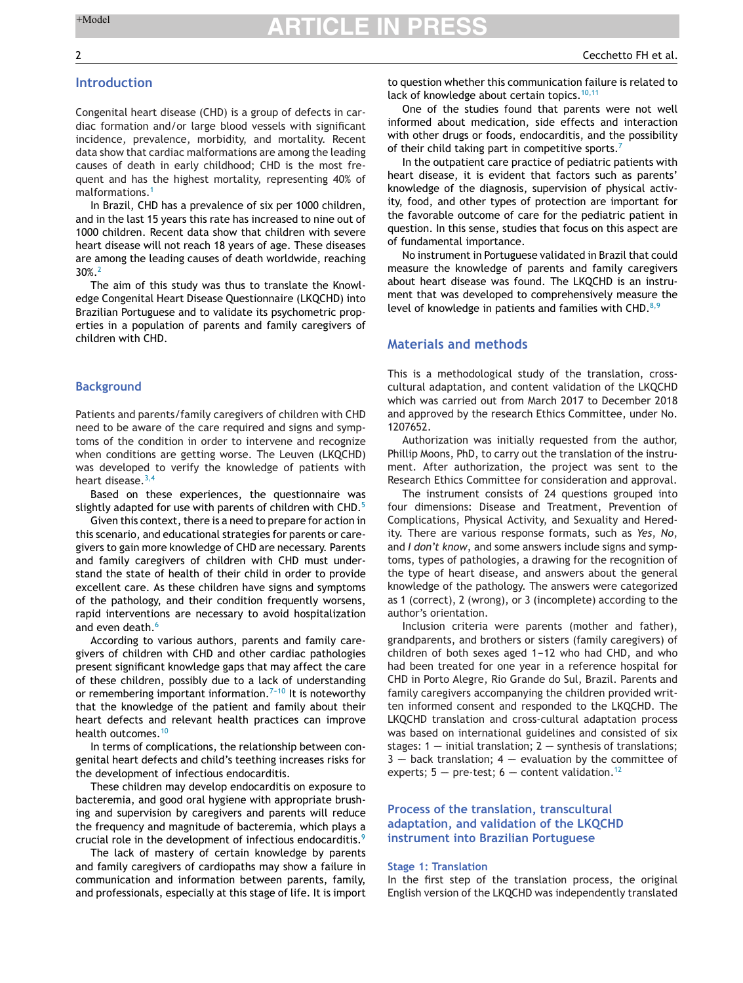## **Introduction**

Congenital heart disease (CHD) is a group of defects in cardiac formation and/or large blood vessels with significant incidence, prevalence, morbidity, and mortality. Recent data show that cardiac malformations are among the leading causes of death in early childhood; CHD is the most frequent and has the highest mortality, representing 40% of malformations.[1](#page-5-0)

In Brazil, CHD has a prevalence of six per 1000 children, and in the last 15 years this rate has increased to nine out of 1000 children. Recent data show that children with severe heart disease will not reach 18 years of age. These diseases are among the leading causes of death worldwide, reaching 30%.[2](#page-6-0)

The aim of this study was thus to translate the Knowledge Congenital Heart Disease Questionnaire (LKQCHD) into Brazilian Portuguese and to validate its psychometric properties in a population of parents and family caregivers of children with CHD.

### **Background**

Patients and parents/family caregivers of children with CHD need to be aware of the care required and signs and symptoms of the condition in order to intervene and recognize when conditions are getting worse. The Leuven (LKQCHD) was developed to verify the knowledge of patients with heart disease. $3,4$ 

Based on these experiences, the questionnaire was slightly adapted for use with parents of children with CHD.<sup>[5](#page-6-0)</sup>

Given this context, there is a need to prepare for action in this scenario, and educational strategies for parents or caregivers to gain more knowledge of CHD are necessary. Parents and family caregivers of children with CHD must understand the state of health of their child in order to provide excellent care. As these children have signs and symptoms of the pathology, and their condition frequently worsens, rapid interventions are necessary to avoid hospitalization and even death.<sup>[6](#page-6-0)</sup>

According to various authors, parents and family caregivers of children with CHD and other cardiac pathologies present significant knowledge gaps that may affect the care of these children, possibly due to a lack of understanding or remembering important information.<sup> $7-10$ </sup> It is noteworthy that the knowledge of the patient and family about their heart defects and relevant health practices can improve health outcomes.<sup>[10](#page-6-0)</sup>

In terms of complications, the relationship between congenital heart defects and child's teething increases risks for the development of infectious endocarditis.

These children may develop endocarditis on exposure to bacteremia, and good oral hygiene with appropriate brushing and supervision by caregivers and parents will reduce the frequency and magnitude of bacteremia, which plays a crucial role in the development of infectious endocarditis.[9](#page-6-0)

The lack of mastery of certain knowledge by parents and family caregivers of cardiopaths may show a failure in communication and information between parents, family, and professionals, especially at this stage of life. It is import to question whether this communication failure is related to lack of knowledge about certain topics.  $10,11$ 

One of the studies found that parents were not well informed about medication, side effects and interaction with other drugs or foods, endocarditis, and the possibility of their child taking part in competitive sports.<sup>[7](#page-6-0)</sup>

In the outpatient care practice of pediatric patients with heart disease, it is evident that factors such as parents' knowledge of the diagnosis, supervision of physical activity, food, and other types of protection are important for the favorable outcome of care for the pediatric patient in question. In this sense, studies that focus on this aspect are of fundamental importance.

No instrument in Portuguese validated in Brazil that could measure the knowledge of parents and family caregivers about heart disease was found. The LKQCHD is an instrument that was developed to comprehensively measure the level of knowledge in patients and families with CHD. $8,9$ 

### **Materials and methods**

This is a methodological study of the translation, crosscultural adaptation, and content validation of the LKQCHD which was carried out from March 2017 to December 2018 and approved by the research Ethics Committee, under No. 1207652.

Authorization was initially requested from the author, Phillip Moons, PhD, to carry out the translation of the instrument. After authorization, the project was sent to the Research Ethics Committee for consideration and approval.

The instrument consists of 24 questions grouped into four dimensions: Disease and Treatment, Prevention of Complications, Physical Activity, and Sexuality and Heredity. There are various response formats, such as *Yes*, *No*, and *I don't know*, and some answers include signs and symptoms, types of pathologies, a drawing for the recognition of the type of heart disease, and answers about the general knowledge of the pathology. The answers were categorized as 1 (correct), 2 (wrong), or 3 (incomplete) according to the author's orientation.

Inclusion criteria were parents (mother and father), grandparents, and brothers or sisters (family caregivers) of children of both sexes aged  $1-12$  who had CHD, and who had been treated for one year in a reference hospital for CHD in Porto Alegre, Rio Grande do Sul, Brazil. Parents and family caregivers accompanying the children provided written informed consent and responded to the LKQCHD. The LKQCHD translation and cross-cultural adaptation process was based on international guidelines and consisted of six stages:  $1$  -- initial translation;  $2$  -- synthesis of translations;  $3 -$  back translation;  $4 -$  evaluation by the committee of experts;  $5$  -- pre-test; 6 -- content validation.<sup>[12](#page-6-0)</sup>

### **Process of the translation, transcultural adaptation, and validation of the LKQCHD instrument into Brazilian Portuguese**

#### **Stage 1: Translation**

In the first step of the translation process, the original English version of the LKQCHD was independently translated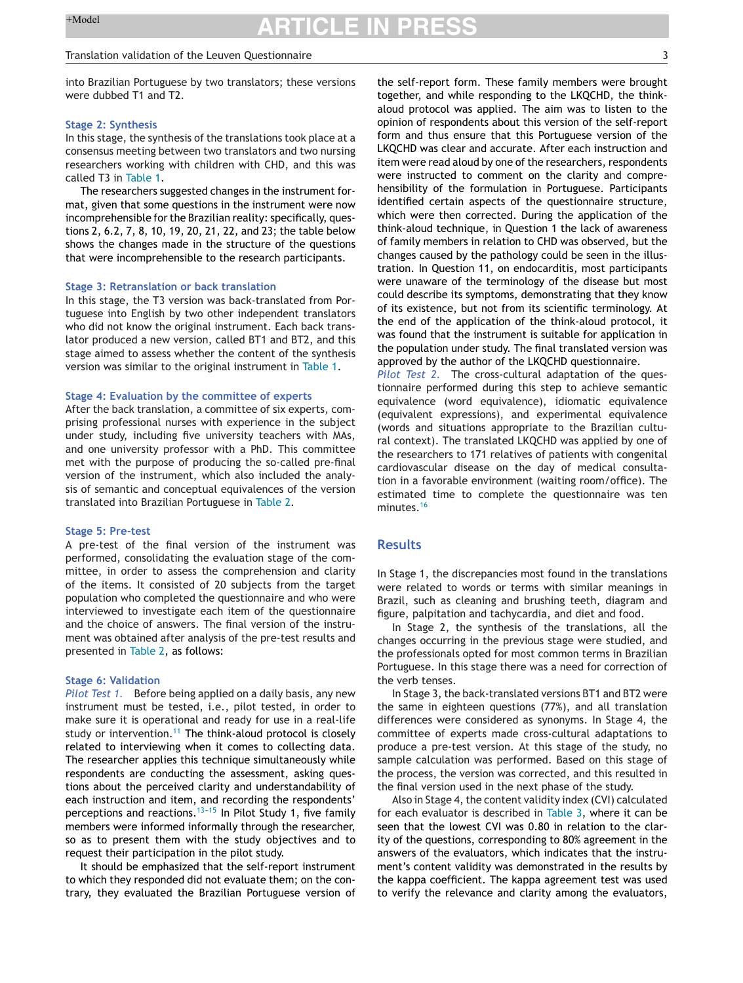#### Translation validation of the Leuven Questionnaire 3

into Brazilian Portuguese by two translators; these versions were dubbed T1 and T2.

#### **Stage 2: Synthesis**

In this stage, the synthesis of the translations took place at a consensus meeting between two translators and two nursing researchers working with children with CHD, and this was called T3 in [Table](#page-3-0) 1.

The researchers suggested changes in the instrument format, given that some questions in the instrument were now incomprehensible for the Brazilian reality: specifically, questions 2, 6.2, 7, 8, 10, 19, 20, 21, 22, and 23; the table below shows the changes made in the structure of the questions that were incomprehensible to the research participants.

#### **Stage 3: Retranslation or back translation**

In this stage, the T3 version was back-translated from Portuguese into English by two other independent translators who did not know the original instrument. Each back translator produced a new version, called BT1 and BT2, and this stage aimed to assess whether the content of the synthesis version was similar to the original instrument in [Table](#page-3-0) 1.

### **Stage 4: Evaluation by the committee of experts**

After the back translation, a committee of six experts, comprising professional nurses with experience in the subject under study, including five university teachers with MAs, and one university professor with a PhD. This committee met with the purpose of producing the so-called pre-final version of the instrument, which also included the analysis of semantic and conceptual equivalences of the version translated into Brazilian Portuguese in [Table](#page-4-0) 2.

#### **Stage 5: Pre-test**

A pre-test of the final version of the instrument was performed, consolidating the evaluation stage of the committee, in order to assess the comprehension and clarity of the items. It consisted of 20 subjects from the target population who completed the questionnaire and who were interviewed to investigate each item of the questionnaire and the choice of answers. The final version of the instrument was obtained after analysis of the pre-test results and presented in [Table](#page-4-0) 2, as follows:

#### **Stage 6: Validation**

*Pilot Test 1.* Before being applied on a daily basis, any new instrument must be tested, i.e., pilot tested, in order to make sure it is operational and ready for use in a real-life study or intervention.<sup>[11](#page-6-0)</sup> The think-aloud protocol is closely related to interviewing when it comes to collecting data. The researcher applies this technique simultaneously while respondents are conducting the assessment, asking questions about the perceived clarity and understandability of each instruction and item, and recording the respondents' perceptions and reactions.<sup>13-15</sup> In Pilot Study 1, five family members were informed informally through the researcher, so as to present them with the study objectives and to request their participation in the pilot study.

It should be emphasized that the self-report instrument to which they responded did not evaluate them; on the contrary, they evaluated the Brazilian Portuguese version of the self-report form. These family members were brought together, and while responding to the LKQCHD, the thinkaloud protocol was applied. The aim was to listen to the opinion of respondents about this version of the self-report form and thus ensure that this Portuguese version of the LKQCHD was clear and accurate. After each instruction and item were read aloud by one of the researchers, respondents were instructed to comment on the clarity and comprehensibility of the formulation in Portuguese. Participants identified certain aspects of the questionnaire structure, which were then corrected. During the application of the think-aloud technique, in Question 1 the lack of awareness of family members in relation to CHD was observed, but the changes caused by the pathology could be seen in the illustration. In Question 11, on endocarditis, most participants were unaware of the terminology of the disease but most could describe its symptoms, demonstrating that they know of its existence, but not from its scientific terminology. At the end of the application of the think-aloud protocol, it was found that the instrument is suitable for application in the population under study. The final translated version was approved by the author of the LKQCHD questionnaire.

*Pilot Test 2.* The cross-cultural adaptation of the questionnaire performed during this step to achieve semantic equivalence (word equivalence), idiomatic equivalence (equivalent expressions), and experimental equivalence (words and situations appropriate to the Brazilian cultural context). The translated LKQCHD was applied by one of the researchers to 171 relatives of patients with congenital cardiovascular disease on the day of medical consultation in a favorable environment (waiting room/office). The estimated time to complete the questionnaire was ten minutes.[16](#page-6-0)

### **Results**

In Stage 1, the discrepancies most found in the translations were related to words or terms with similar meanings in Brazil, such as cleaning and brushing teeth, diagram and figure, palpitation and tachycardia, and diet and food.

In Stage 2, the synthesis of the translations, all the changes occurring in the previous stage were studied, and the professionals opted for most common terms in Brazilian Portuguese. In this stage there was a need for correction of the verb tenses.

In Stage 3, the back-translated versions BT1 and BT2 were the same in eighteen questions (77%), and all translation differences were considered as synonyms. In Stage 4, the committee of experts made cross-cultural adaptations to produce a pre-test version. At this stage of the study, no sample calculation was performed. Based on this stage of the process, the version was corrected, and this resulted in the final version used in the next phase of the study.

Also in Stage 4, the content validity index (CVI) calculated for each evaluator is described in [Table](#page-5-0) 3, where it can be seen that the lowest CVI was 0.80 in relation to the clarity of the questions, corresponding to 80% agreement in the answers of the evaluators, which indicates that the instrument's content validity was demonstrated in the results by the kappa coefficient. The kappa agreement test was used to verify the relevance and clarity among the evaluators,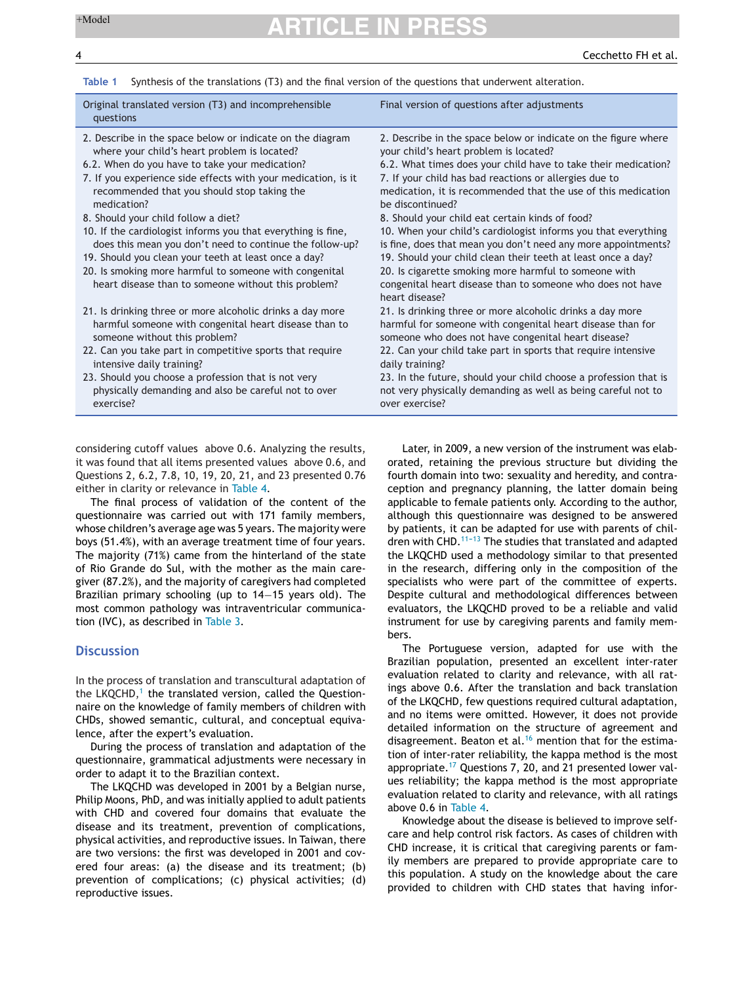<span id="page-3-0"></span>

| Synthesis of the translations (T3) and the final version of the questions that underwent alteration.<br>Table 1                                                                                                                                                                                                                                                                                                                                                                                                                                                                                                                        |                                                                                                                                                                                                                                                                                                                                                                                                                                                                                                                                                                                                                                                                                                        |  |  |  |  |
|----------------------------------------------------------------------------------------------------------------------------------------------------------------------------------------------------------------------------------------------------------------------------------------------------------------------------------------------------------------------------------------------------------------------------------------------------------------------------------------------------------------------------------------------------------------------------------------------------------------------------------------|--------------------------------------------------------------------------------------------------------------------------------------------------------------------------------------------------------------------------------------------------------------------------------------------------------------------------------------------------------------------------------------------------------------------------------------------------------------------------------------------------------------------------------------------------------------------------------------------------------------------------------------------------------------------------------------------------------|--|--|--|--|
| Original translated version (T3) and incomprehensible<br>questions                                                                                                                                                                                                                                                                                                                                                                                                                                                                                                                                                                     | Final version of questions after adjustments                                                                                                                                                                                                                                                                                                                                                                                                                                                                                                                                                                                                                                                           |  |  |  |  |
| 2. Describe in the space below or indicate on the diagram<br>where your child's heart problem is located?<br>6.2. When do you have to take your medication?<br>7. If you experience side effects with your medication, is it<br>recommended that you should stop taking the<br>medication?<br>8. Should your child follow a diet?<br>10. If the cardiologist informs you that everything is fine,<br>does this mean you don't need to continue the follow-up?<br>19. Should you clean your teeth at least once a day?<br>20. Is smoking more harmful to someone with congenital<br>heart disease than to someone without this problem? | 2. Describe in the space below or indicate on the figure where<br>your child's heart problem is located?<br>6.2. What times does your child have to take their medication?<br>7. If your child has bad reactions or allergies due to<br>medication, it is recommended that the use of this medication<br>be discontinued?<br>8. Should your child eat certain kinds of food?<br>10. When your child's cardiologist informs you that everything<br>is fine, does that mean you don't need any more appointments?<br>19. Should your child clean their teeth at least once a day?<br>20. Is cigarette smoking more harmful to someone with<br>congenital heart disease than to someone who does not have |  |  |  |  |
| 21. Is drinking three or more alcoholic drinks a day more<br>harmful someone with congenital heart disease than to<br>someone without this problem?<br>22. Can you take part in competitive sports that require<br>intensive daily training?<br>23. Should you choose a profession that is not very<br>physically demanding and also be careful not to over<br>exercise?                                                                                                                                                                                                                                                               | heart disease?<br>21. Is drinking three or more alcoholic drinks a day more<br>harmful for someone with congenital heart disease than for<br>someone who does not have congenital heart disease?<br>22. Can your child take part in sports that require intensive<br>daily training?<br>23. In the future, should your child choose a profession that is<br>not very physically demanding as well as being careful not to<br>over exercise?                                                                                                                                                                                                                                                            |  |  |  |  |

considering cutoff values above 0.6. Analyzing the results, it was found that all items presented values above 0.6, and Questions 2, 6.2, 7.8, 10, 19, 20, 21, and 23 presented 0.76 either in clarity or relevance in [Table](#page-5-0) 4.

The final process of validation of the content of the questionnaire was carried out with 171 family members, whose children's average age was 5 years. The majority were boys (51.4%), with an average treatment time of four years. The majority (71%) came from the hinterland of the state of Rio Grande do Sul, with the mother as the main caregiver (87.2%), and the majority of caregivers had completed Brazilian primary schooling (up to 14−15 years old). The most common pathology was intraventricular communication (IVC), as described in [Table](#page-5-0) 3.

### **Discussion**

In the process of translation and transcultural adaptation of the LKQCHD, $<sup>1</sup>$  $<sup>1</sup>$  $<sup>1</sup>$  the translated version, called the Question-</sup> naire on the knowledge of family members of children with CHDs, showed semantic, cultural, and conceptual equivalence, after the expert's evaluation.

During the process of translation and adaptation of the questionnaire, grammatical adjustments were necessary in order to adapt it to the Brazilian context.

The LKQCHD was developed in 2001 by a Belgian nurse, Philip Moons, PhD, and was initially applied to adult patients with CHD and covered four domains that evaluate the disease and its treatment, prevention of complications, physical activities, and reproductive issues. In Taiwan, there are two versions: the first was developed in 2001 and covered four areas: (a) the disease and its treatment; (b) prevention of complications; (c) physical activities; (d) reproductive issues.

Later, in 2009, a new version of the instrument was elaborated, retaining the previous structure but dividing the fourth domain into two: sexuality and heredity, and contraception and pregnancy planning, the latter domain being applicable to female patients only. According to the author, although this questionnaire was designed to be answered by patients, it can be adapted for use with parents of children with CHD.<sup>11-13</sup> The studies that translated and adapted the LKQCHD used a methodology similar to that presented in the research, differing only in the composition of the specialists who were part of the committee of experts. Despite cultural and methodological differences between evaluators, the LKQCHD proved to be a reliable and valid instrument for use by caregiving parents and family members.

The Portuguese version, adapted for use with the Brazilian population, presented an excellent inter-rater evaluation related to clarity and relevance, with all ratings above 0.6. After the translation and back translation of the LKQCHD, few questions required cultural adaptation, and no items were omitted. However, it does not provide detailed information on the structure of agreement and disagreement. Beaton et al.<sup>[16](#page-6-0)</sup> mention that for the estimation of inter-rater reliability, the kappa method is the most appropriate.<sup>[17](#page-6-0)</sup> Questions 7, 20, and 21 presented lower values reliability; the kappa method is the most appropriate evaluation related to clarity and relevance, with all ratings above 0.6 in [Table](#page-5-0) 4.

Knowledge about the disease is believed to improve selfcare and help control risk factors. As cases of children with CHD increase, it is critical that caregiving parents or family members are prepared to provide appropriate care to this population. A study on the knowledge about the care provided to children with CHD states that having infor-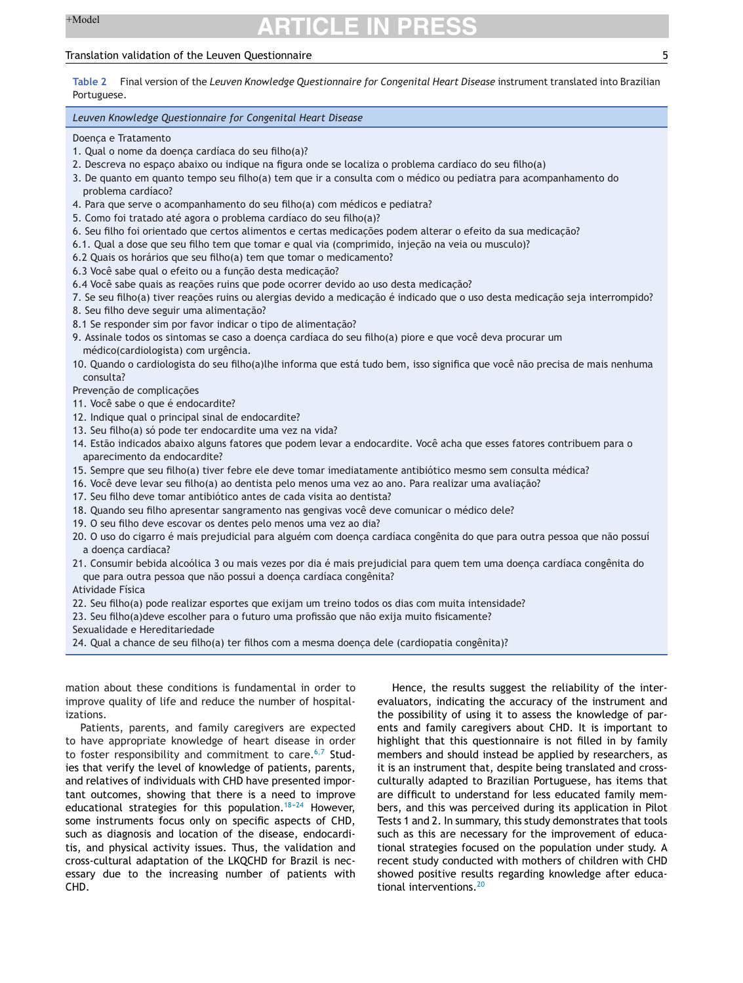### <span id="page-4-0"></span>Translation validation of the Leuven Questionnaire 5

**Table 2** Final version of the *Leuven Knowledge Questionnaire for Congenital Heart Disease* instrument translated into Brazilian Portuguese.

#### *Leuven Knowledge Questionnaire for Congenital Heart Disease*

Doença e Tratamento

- 1. Qual o nome da doenca cardíaca do seu filho(a)?
- 2. Descreva no espaco abaixo ou indique na figura onde se localiza o problema cardíaco do seu filho(a)
- 3. De quanto em quanto tempo seu filho(a) tem que ir a consulta com o médico ou pediatra para acompanhamento do problema cardíaco?
- 4. Para que serve o acompanhamento do seu filho(a) com médicos e pediatra?
- 5. Como foi tratado até agora o problema cardíaco do seu filho(a)?
- 6. Seu filho foi orientado que certos alimentos e certas medicações podem alterar o efeito da sua medicação?
- 6.1. Qual a dose que seu filho tem que tomar e qual via (comprimido, injeção na veia ou musculo)?
- 6.2 Quais os horários que seu filho(a) tem que tomar o medicamento?
- 6.3 Você sabe qual o efeito ou a funcão desta medicacão?
- 6.4 Você sabe quais as reações ruins que pode ocorrer devido ao uso desta medicação?
- 7. Se seu filho(a) tiver reações ruins ou alergias devido a medicação é indicado que o uso desta medicação seja interrompido?
- 8. Seu filho deve seguir uma alimentação?
- 8.1 Se responder sim por favor indicar o tipo de alimentação?
- 9. Assinale todos os sintomas se caso a doença cardíaca do seu filho(a) piore e que você deva procurar um médico(cardiologista) com urgência.
- 10. Quando o cardiologista do seu filho(a)lhe informa que está tudo bem, isso significa que você não precisa de mais nenhuma consulta?
- Prevenção de complicações
- 11. Você sabe o que é endocardite?
- 12. Indique qual o principal sinal de endocardite?
- 13. Seu filho(a) só pode ter endocardite uma vez na vida?
- 14. Estão indicados abaixo alguns fatores que podem levar a endocardite. Você acha que esses fatores contribuem para o aparecimento da endocardite?
- 15. Sempre que seu filho(a) tiver febre ele deve tomar imediatamente antibiótico mesmo sem consulta médica?
- 16. Você deve levar seu filho(a) ao dentista pelo menos uma vez ao ano. Para realizar uma avaliação?
- 17. Seu filho deve tomar antibiótico antes de cada visita ao dentista?
- 18. Quando seu filho apresentar sangramento nas gengivas você deve comunicar o médico dele?
- 19. O seu filho deve escovar os dentes pelo menos uma vez ao dia?
- 20. O uso do cigarro é mais prejudicial para alguém com doença cardíaca congênita do que para outra pessoa que não possuí a doença cardíaca?
- 21. Consumir bebida alcoólica 3 ou mais vezes por dia é mais prejudicial para quem tem uma doença cardíaca congênita do que para outra pessoa que não possui a doença cardíaca congênita?
- Atividade Física
- 22. Seu filho(a) pode realizar esportes que exijam um treino todos os dias com muita intensidade?
- 23. Seu filho(a)deve escolher para o futuro uma profissão que não exija muito fisicamente?
- Sexualidade e Hereditariedade
- 24. Qual a chance de seu filho(a) ter filhos com a mesma doença dele (cardiopatia congênita)?

mation about these conditions is fundamental in order to improve quality of life and reduce the number of hospitalizations.

Patients, parents, and family caregivers are expected to have appropriate knowledge of heart disease in order to foster responsibility and commitment to care. $6,7$  Studies that verify the level of knowledge of patients, parents, and relatives of individuals with CHD have presented important outcomes, showing that there is a need to improve educational strategies for this population. $18-24$  However, some instruments focus only on specific aspects of CHD, such as diagnosis and location of the disease, endocarditis, and physical activity issues. Thus, the validation and cross-cultural adaptation of the LKQCHD for Brazil is necessary due to the increasing number of patients with CHD.

Hence, the results suggest the reliability of the interevaluators, indicating the accuracy of the instrument and the possibility of using it to assess the knowledge of parents and family caregivers about CHD. It is important to highlight that this questionnaire is not filled in by family members and should instead be applied by researchers, as it is an instrument that, despite being translated and crossculturally adapted to Brazilian Portuguese, has items that are difficult to understand for less educated family members, and this was perceived during its application in Pilot Tests 1 and 2. In summary, this study demonstrates that tools such as this are necessary for the improvement of educational strategies focused on the population under study. A recent study conducted with mothers of children with CHD showed positive results regarding knowledge after educa-tional interventions.<sup>[20](#page-6-0)</sup>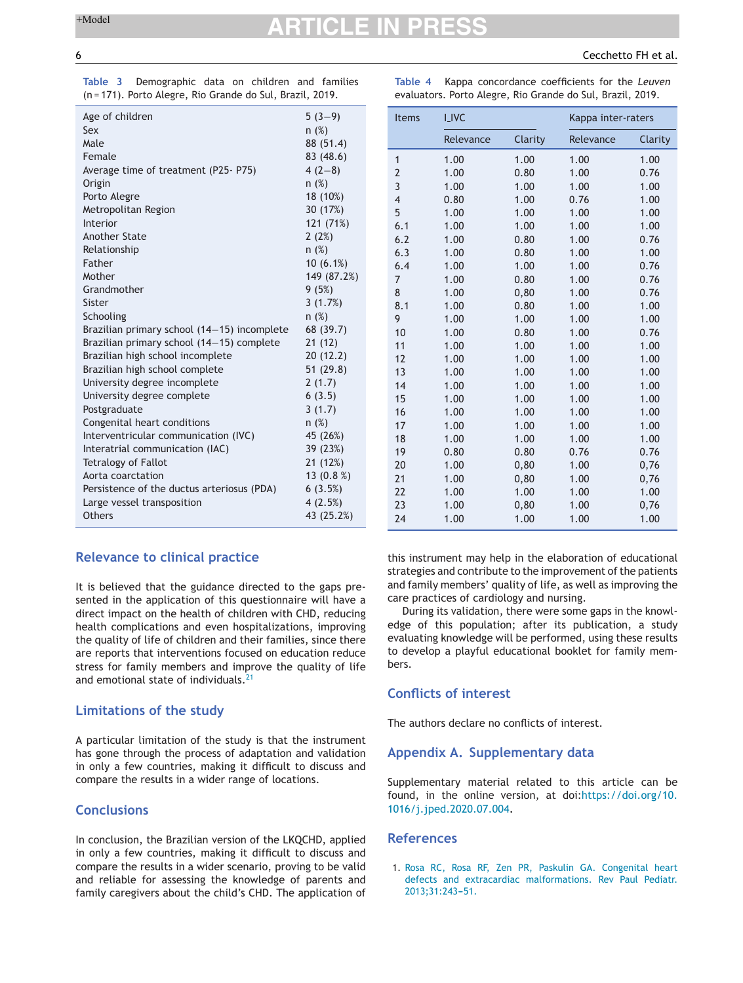|  | Table 3 Demographic data on children and families         |  |  |  |
|--|-----------------------------------------------------------|--|--|--|
|  | (n = 171). Porto Alegre, Rio Grande do Sul, Brazil, 2019. |  |  |  |

| Table 4                                                    |  | Kappa concordance coefficients for the Leuven |  |  |
|------------------------------------------------------------|--|-----------------------------------------------|--|--|
| evaluators. Porto Alegre, Rio Grande do Sul, Brazil, 2019. |  |                                               |  |  |

| Age of children                             | $5(3-9)$     |
|---------------------------------------------|--------------|
| Sex                                         | n(%)         |
| Male                                        | 88 (51.4)    |
| Female                                      | 83 (48.6)    |
| Average time of treatment (P25-P75)         | $4(2-8)$     |
| Origin                                      | n(%)         |
| Porto Alegre                                | 18 (10%)     |
| Metropolitan Region                         | 30 (17%)     |
| Interior                                    | 121 (71%)    |
| Another State                               | 2(2%)        |
| Relationship                                | n(%)         |
| Father                                      | $10(6.1\%)$  |
| Mother                                      | 149 (87.2%)  |
| Grandmother                                 | 9(5%)        |
| Sister                                      | 3(1.7%)      |
| Schooling                                   | n(%)         |
| Brazilian primary school (14–15) incomplete | 68 (39.7)    |
| Brazilian primary school (14-15) complete   | 21(12)       |
| Brazilian high school incomplete            | 20(12.2)     |
| Brazilian high school complete              | 51(29.8)     |
| University degree incomplete                | 2(1.7)       |
| University degree complete                  | 6(3.5)       |
| Postgraduate                                | 3(1.7)       |
| Congenital heart conditions                 | n(%)         |
| Interventricular communication (IVC)        | 45 (26%)     |
| Interatrial communication (IAC)             | 39 (23%)     |
| <b>Tetralogy of Fallot</b>                  | 21 (12%)     |
| Aorta coarctation                           | 13 $(0.8\%)$ |
| Persistence of the ductus arteriosus (PDA)  | 6(3.5%)      |
| Large vessel transposition                  | 4(2.5%)      |
| Others                                      | 43 (25.2%)   |
|                                             |              |

### **Relevance to clinical practice**

It is believed that the guidance directed to the gaps presented in the application of this questionnaire will have a direct impact on the health of children with CHD, reducing health complications and even hospitalizations, improving the quality of life of children and their families, since there are reports that interventions focused on education reduce stress for family members and improve the quality of life and emotional state of individuals.<sup>[21](#page-6-0)</sup>

### **Limitations of the study**

A particular limitation of the study is that the instrument has gone through the process of adaptation and validation in only a few countries, making it difficult to discuss and compare the results in a wider range of locations.

## **Conclusions**

In conclusion, the Brazilian version of the LKQCHD, applied in only a few countries, making it difficult to discuss and compare the results in a wider scenario, proving to be valid and reliable for assessing the knowledge of parents and family caregivers about the child's CHD. The application of

| <b>Items</b>   | <b>I_IVC</b> |         | Kappa inter-raters |         |  |
|----------------|--------------|---------|--------------------|---------|--|
|                | Relevance    | Clarity | Relevance          | Clarity |  |
| $\mathbf{1}$   | 1.00         | 1.00    | 1.00               | 1.00    |  |
| $\overline{2}$ | 1.00         | 0.80    | 1.00               | 0.76    |  |
| 3              | 1.00         | 1.00    | 1.00               | 1.00    |  |
| $\overline{4}$ | 0.80         | 1.00    | 0.76               | 1.00    |  |
| 5              | 1.00         | 1.00    | 1.00               | 1.00    |  |
| 6.1            | 1.00         | 1.00    | 1.00               | 1.00    |  |
| 6.2            | 1.00         | 0.80    | 1.00               | 0.76    |  |
| 6.3            | 1.00         | 0.80    | 1.00               | 1.00    |  |
| 6.4            | 1.00         | 1.00    | 1.00               | 0.76    |  |
| $\overline{7}$ | 1.00         | 0.80    | 1.00               | 0.76    |  |
| 8              | 1.00         | 0, 80   | 1.00               | 0.76    |  |
| 8.1            | 1.00         | 0.80    | 1.00               | 1.00    |  |
| 9              | 1.00         | 1.00    | 1.00               | 1.00    |  |
| 10             | 1.00         | 0.80    | 1.00               | 0.76    |  |
| 11             | 1.00         | 1.00    | 1.00               | 1.00    |  |
| 12             | 1.00         | 1.00    | 1.00               | 1.00    |  |
| 13             | 1.00         | 1.00    | 1.00               | 1.00    |  |
| 14             | 1.00         | 1.00    | 1.00               | 1.00    |  |
| 15             | 1.00         | 1.00    | 1.00               | 1.00    |  |
| 16             | 1.00         | 1.00    | 1.00               | 1.00    |  |
| 17             | 1.00         | 1.00    | 1.00               | 1.00    |  |
| 18             | 1.00         | 1.00    | 1.00               | 1.00    |  |
| 19             | 0.80         | 0.80    | 0.76               | 0.76    |  |
| 20             | 1.00         | 0, 80   | 1.00               | 0,76    |  |
| 21             | 1.00         | 0,80    | 1.00               | 0,76    |  |
| 22             | 1.00         | 1.00    | 1.00               | 1.00    |  |
| 23             | 1.00         | 0, 80   | 1.00               | 0,76    |  |
| 24             | 1.00         | 1.00    | 1.00               | 1.00    |  |

this instrument may help in the elaboration of educational strategies and contribute to the improvement of the patients and family members' quality of life, as well as improving the care practices of cardiology and nursing.

During its validation, there were some gaps in the knowledge of this population; after its publication, a study evaluating knowledge will be performed, using these results to develop a playful educational booklet for family members.

### **Conflicts of interest**

The authors declare no conflicts of interest.

### **Appendix A. Supplementary data**

Supplementary material related to this article can be found, in the online version, at doi:[https://doi.org/10.](https://doi.org/10.1016/j.jped.2020.07.004) [1016/j.jped.2020.07.004](https://doi.org/10.1016/j.jped.2020.07.004).

### **References**

1. [Rosa](http://refhub.elsevier.com/S0021-7557(20)30194-7/sbref0005) [RC,](http://refhub.elsevier.com/S0021-7557(20)30194-7/sbref0005) [Rosa](http://refhub.elsevier.com/S0021-7557(20)30194-7/sbref0005) [RF,](http://refhub.elsevier.com/S0021-7557(20)30194-7/sbref0005) [Zen](http://refhub.elsevier.com/S0021-7557(20)30194-7/sbref0005) [PR,](http://refhub.elsevier.com/S0021-7557(20)30194-7/sbref0005) [Paskulin](http://refhub.elsevier.com/S0021-7557(20)30194-7/sbref0005) [GA.](http://refhub.elsevier.com/S0021-7557(20)30194-7/sbref0005) [Congenital](http://refhub.elsevier.com/S0021-7557(20)30194-7/sbref0005) [heart](http://refhub.elsevier.com/S0021-7557(20)30194-7/sbref0005) [defects](http://refhub.elsevier.com/S0021-7557(20)30194-7/sbref0005) [and](http://refhub.elsevier.com/S0021-7557(20)30194-7/sbref0005) [extracardiac](http://refhub.elsevier.com/S0021-7557(20)30194-7/sbref0005) [malformations.](http://refhub.elsevier.com/S0021-7557(20)30194-7/sbref0005) [Rev](http://refhub.elsevier.com/S0021-7557(20)30194-7/sbref0005) [Paul](http://refhub.elsevier.com/S0021-7557(20)30194-7/sbref0005) [Pediatr.](http://refhub.elsevier.com/S0021-7557(20)30194-7/sbref0005) 2013;31:243-51.

<span id="page-5-0"></span>